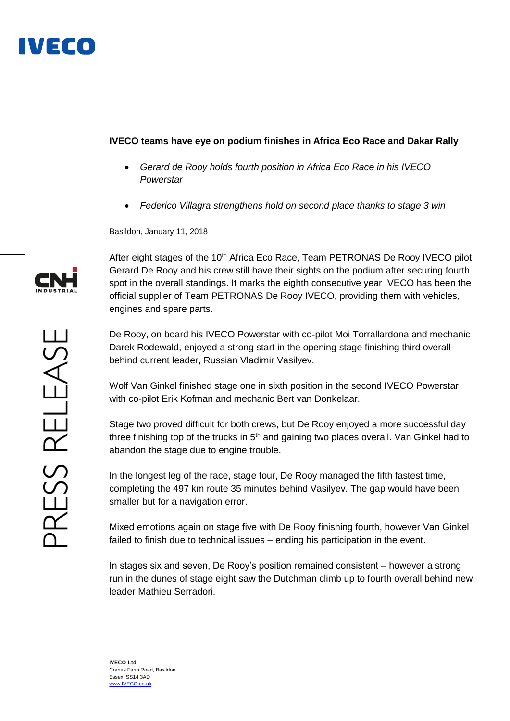## **IVECO teams have eye on podium finishes in Africa Eco Race and Dakar Rally**

- *Gerard de Rooy holds fourth position in Africa Eco Race in his IVECO Powerstar*
- *Federico Villagra strengthens hold on second place thanks to stage 3 win*

Basildon, January 11, 2018

After eight stages of the 10<sup>th</sup> Africa Eco Race, Team PETRONAS De Rooy IVECO pilot Gerard De Rooy and his crew still have their sights on the podium after securing fourth spot in the overall standings. It marks the eighth consecutive year IVECO has been the official supplier of Team PETRONAS De Rooy IVECO, providing them with vehicles, engines and spare parts.

De Rooy, on board his IVECO Powerstar with co-pilot Moi Torrallardona and mechanic Darek Rodewald, enjoyed a strong start in the opening stage finishing third overall behind current leader, Russian Vladimir Vasilyev.

Wolf Van Ginkel finished stage one in sixth position in the second IVECO Powerstar with co-pilot Erik Kofman and mechanic Bert van Donkelaar.

Stage two proved difficult for both crews, but De Rooy enjoyed a more successful day three finishing top of the trucks in  $5<sup>th</sup>$  and gaining two places overall. Van Ginkel had to abandon the stage due to engine trouble.

In the longest leg of the race, stage four, De Rooy managed the fifth fastest time, completing the 497 km route 35 minutes behind Vasilyev. The gap would have been smaller but for a navigation error.

Mixed emotions again on stage five with De Rooy finishing fourth, however Van Ginkel failed to finish due to technical issues – ending his participation in the event.

In stages six and seven, De Rooy's position remained consistent – however a strong run in the dunes of stage eight saw the Dutchman climb up to fourth overall behind new leader Mathieu Serradori.

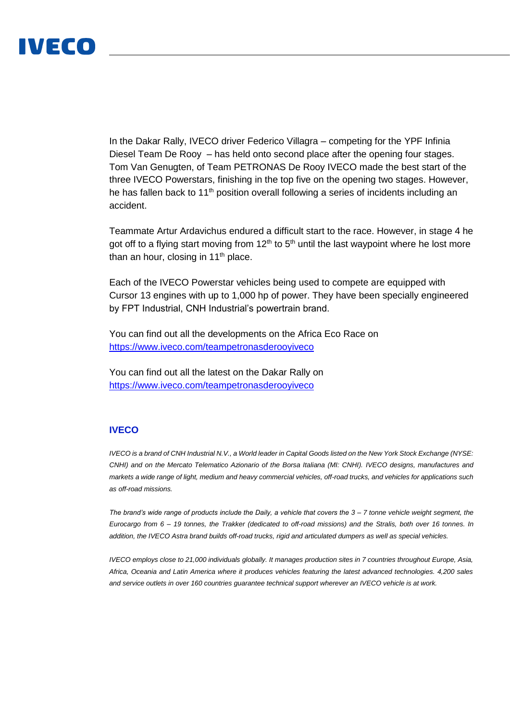## IVECO

In the Dakar Rally, IVECO driver Federico Villagra – competing for the YPF Infinia Diesel Team De Rooy – has held onto second place after the opening four stages. Tom Van Genugten, of Team PETRONAS De Rooy IVECO made the best start of the three IVECO Powerstars, finishing in the top five on the opening two stages. However, he has fallen back to 11<sup>th</sup> position overall following a series of incidents including an accident.

Teammate Artur Ardavichus endured a difficult start to the race. However, in stage 4 he got off to a flying start moving from  $12<sup>th</sup>$  to  $5<sup>th</sup>$  until the last waypoint where he lost more than an hour, closing in  $11<sup>th</sup>$  place.

Each of the IVECO Powerstar vehicles being used to compete are equipped with Cursor 13 engines with up to 1,000 hp of power. They have been specially engineered by FPT Industrial, CNH Industrial's powertrain brand.

You can find out all the developments on the Africa Eco Race on <https://www.iveco.com/teampetronasderooyiveco>

You can find out all the latest on the Dakar Rally on <https://www.iveco.com/teampetronasderooyiveco>

## **IVECO**

*IVECO is a brand of CNH Industrial N.V., a World leader in Capital Goods listed on the New York Stock Exchange (NYSE: CNHI) and on the Mercato Telematico Azionario of the Borsa Italiana (MI: CNHI). IVECO designs, manufactures and markets a wide range of light, medium and heavy commercial vehicles, off-road trucks, and vehicles for applications such as off-road missions.* 

*The brand's wide range of products include the Daily, a vehicle that covers the 3 – 7 tonne vehicle weight segment, the Eurocargo from 6 – 19 tonnes, the Trakker (dedicated to off-road missions) and the Stralis, both over 16 tonnes. In addition, the IVECO Astra brand builds off-road trucks, rigid and articulated dumpers as well as special vehicles.* 

*IVECO employs close to 21,000 individuals globally. It manages production sites in 7 countries throughout Europe, Asia, Africa, Oceania and Latin America where it produces vehicles featuring the latest advanced technologies. 4,200 sales and service outlets in over 160 countries guarantee technical support wherever an IVECO vehicle is at work.*